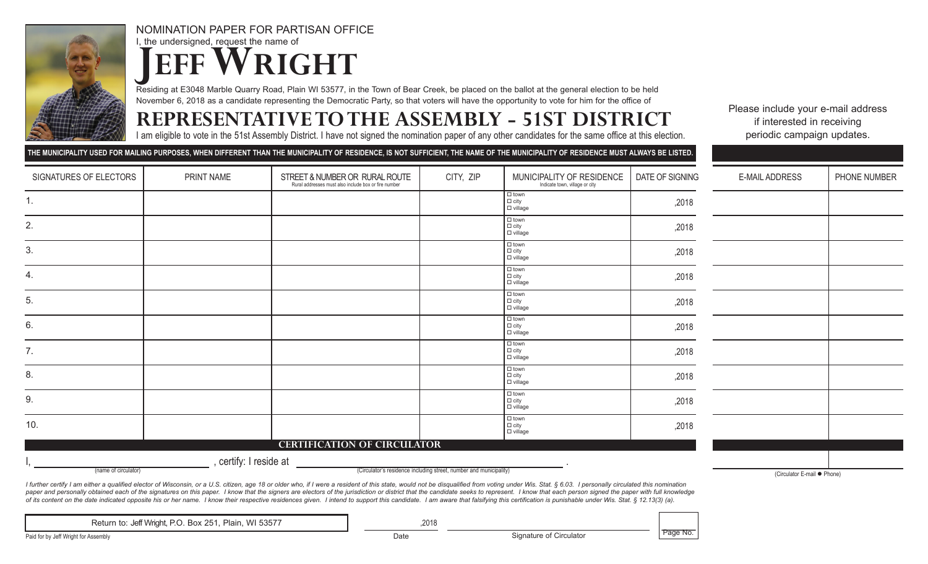

NOMINATION PAPER FOR PARTISAN OFFICE I, the undersigned, request the name of **JEFF WRIGHT** 

Residing at E3048 Marble Quarry Road, Plain WI 53577, in the Town of Bear Creek, be placed on the ballot at the general election to be held November 6, 2018 as a candidate representing the Democratic Party, so that voters will have the opportunity to vote for him for the office of

## **REPRESENTATIVETO THE ASSEMBLY - 51ST DISTRICT**

I am eligible to vote in the 51st Assembly District. I have not signed the nomination paper of any other candidates for the same office at this election.

Please include your e-mail address if interested in receiving periodic campaign updates.

|                                                                                            |                        | THE MUNICIPALITY USED FOR MAILING PURPOSES, WHEN DIFFERENT THAN THE MUNICIPALITY OF RESIDENCE, IS NOT SUFFICIENT, THE NAME OF THE MUNICIPALITY OF RESIDENCE MUST ALWAYS BE LISTED.                                             |           |                                                             |                 |                             |              |
|--------------------------------------------------------------------------------------------|------------------------|--------------------------------------------------------------------------------------------------------------------------------------------------------------------------------------------------------------------------------|-----------|-------------------------------------------------------------|-----------------|-----------------------------|--------------|
| SIGNATURES OF ELECTORS                                                                     | PRINT NAME             | STREET & NUMBER OR RURAL ROUTE<br>Rural addresses must also include box or fire number                                                                                                                                         | CITY, ZIP | MUNICIPALITY OF RESIDENCE<br>Indicate town, village or city | DATE OF SIGNING | E-MAIL ADDRESS              | PHONE NUMBER |
| 1.                                                                                         |                        |                                                                                                                                                                                                                                |           | $\Box$ town<br>$\Box$ city<br>$\Box$ village                | ,2018           |                             |              |
| 2.                                                                                         |                        |                                                                                                                                                                                                                                |           | $\Box$ town<br>$\Box$ city<br>$\Box$ village                | ,2018           |                             |              |
| 3.                                                                                         |                        |                                                                                                                                                                                                                                |           | $\Box$ town<br>$\Box$ city<br>$\Box$ village                | ,2018           |                             |              |
| 4.                                                                                         |                        |                                                                                                                                                                                                                                |           | $\Box$ town<br>$\Box$ city<br>$\Box$ village                | ,2018           |                             |              |
| 5.                                                                                         |                        |                                                                                                                                                                                                                                |           | $\Box$ town<br>$\Box$ city<br>$\Box$ village                | ,2018           |                             |              |
| 6.                                                                                         |                        |                                                                                                                                                                                                                                |           | $\Box$ town<br>$\Box$ city<br>$\Box$ village                | ,2018           |                             |              |
| 7.                                                                                         |                        |                                                                                                                                                                                                                                |           | $\Box$ town<br>$\Box$ city<br>$\Box$ village                | ,2018           |                             |              |
| 8.                                                                                         |                        |                                                                                                                                                                                                                                |           | $\Box$ town<br>$\Box$ city<br>$\Box$ village                | ,2018           |                             |              |
| 9.                                                                                         |                        |                                                                                                                                                                                                                                |           | $\Box$ town<br>$\Box$ city<br>$\Box$ village                | ,2018           |                             |              |
| 10.                                                                                        |                        |                                                                                                                                                                                                                                |           | $\Box$ town<br>$\Box$ city<br>$\Box$ village                | ,2018           |                             |              |
|                                                                                            |                        | <b>CERTIFICATION OF CIRCULATOR</b>                                                                                                                                                                                             |           |                                                             |                 |                             |              |
|                                                                                            | , certify: I reside at |                                                                                                                                                                                                                                |           |                                                             |                 |                             |              |
| (Circulator's residence including street, number and municipality)<br>(name of circulator) |                        |                                                                                                                                                                                                                                |           |                                                             |                 | (Circulator E-mail ● Phone) |              |
|                                                                                            |                        | I finition a culture and distributed algodox of Ulliagania are U.C. eiting are 10 are problem it under a resident of this state, well ask the discussion including the second was until at the CAO, I personally simulated thi |           |                                                             |                 |                             |              |

I further certify I am either a qualified elector of Wisconsin, or a U.S. citizen, age 18 or older who, if I were a resident of this state, would not be disqualified from voting under Wis. Stat. § 6.03. I personally circul paper and personally obtained each of the signatures on this paper. I know that the signers are electors of the jurisdiction or district that the candidate seeks to represent. I know that each person signed the paper with of its content on the date indicated opposite his or her name. I know their respective residences given. I intend to support this candidate. I am aware that falsifying this certification is punishable under Wis. Stat. § 12

Return to: Jeff Wright, P.O. Box 251, Plain, WI 53577 **1988 1998** ,2018